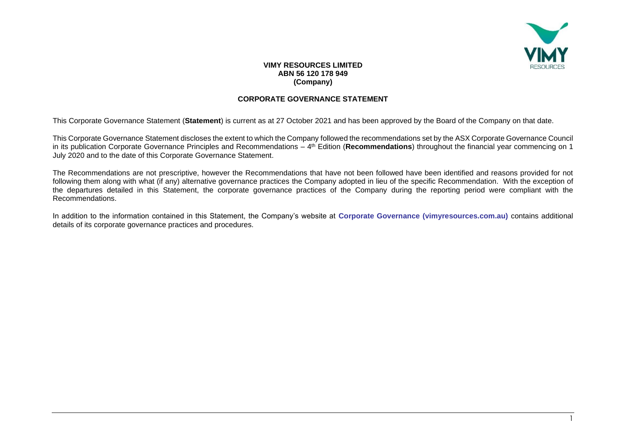

## **VIMY RESOURCES LIMITED ABN 56 120 178 949 (Company)**

## **CORPORATE GOVERNANCE STATEMENT**

This Corporate Governance Statement (**Statement**) is current as at 27 October 2021 and has been approved by the Board of the Company on that date.

This Corporate Governance Statement discloses the extent to which the Company followed the recommendations set by the ASX Corporate Governance Council in its publication Corporate Governance Principles and Recommendations – 4<sup>th</sup> Edition (**Recommendations**) throughout the financial year commencing on 1 July 2020 and to the date of this Corporate Governance Statement.

The Recommendations are not prescriptive, however the Recommendations that have not been followed have been identified and reasons provided for not following them along with what (if any) alternative governance practices the Company adopted in lieu of the specific Recommendation. With the exception of the departures detailed in this Statement, the corporate governance practices of the Company during the reporting period were compliant with the Recommendations.

In addition to the information contained in this Statement, the Company's website at **[Corporate Governance \(vimyresources.com.au\)](https://vimyresources.com.au/index.php/corporate/corporate-governance)** contains additional details of its corporate governance practices and procedures.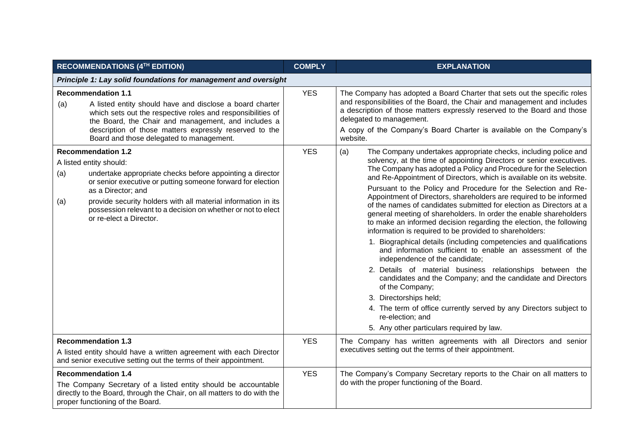|                                                                                                                                                                                                            | <b>RECOMMENDATIONS (4TH EDITION)</b>                                                                                                                                                                                                                                                                                                                               | <b>COMPLY</b> | <b>EXPLANATION</b>                                                                                                                                                                                                                                                                                                                                                                                                                                                                                                                                                                                                                                                                                                                                                                                                                                                                                                                                                                                                                                                                                                                                                                                 |
|------------------------------------------------------------------------------------------------------------------------------------------------------------------------------------------------------------|--------------------------------------------------------------------------------------------------------------------------------------------------------------------------------------------------------------------------------------------------------------------------------------------------------------------------------------------------------------------|---------------|----------------------------------------------------------------------------------------------------------------------------------------------------------------------------------------------------------------------------------------------------------------------------------------------------------------------------------------------------------------------------------------------------------------------------------------------------------------------------------------------------------------------------------------------------------------------------------------------------------------------------------------------------------------------------------------------------------------------------------------------------------------------------------------------------------------------------------------------------------------------------------------------------------------------------------------------------------------------------------------------------------------------------------------------------------------------------------------------------------------------------------------------------------------------------------------------------|
|                                                                                                                                                                                                            | Principle 1: Lay solid foundations for management and oversight                                                                                                                                                                                                                                                                                                    |               |                                                                                                                                                                                                                                                                                                                                                                                                                                                                                                                                                                                                                                                                                                                                                                                                                                                                                                                                                                                                                                                                                                                                                                                                    |
| (a)                                                                                                                                                                                                        | <b>Recommendation 1.1</b><br>A listed entity should have and disclose a board charter<br>which sets out the respective roles and responsibilities of<br>the Board, the Chair and management, and includes a<br>description of those matters expressly reserved to the<br>Board and those delegated to management.                                                  | <b>YES</b>    | The Company has adopted a Board Charter that sets out the specific roles<br>and responsibilities of the Board, the Chair and management and includes<br>a description of those matters expressly reserved to the Board and those<br>delegated to management.<br>A copy of the Company's Board Charter is available on the Company's<br>website.                                                                                                                                                                                                                                                                                                                                                                                                                                                                                                                                                                                                                                                                                                                                                                                                                                                    |
| (a)<br>(a)                                                                                                                                                                                                 | <b>Recommendation 1.2</b><br>A listed entity should:<br>undertake appropriate checks before appointing a director<br>or senior executive or putting someone forward for election<br>as a Director; and<br>provide security holders with all material information in its<br>possession relevant to a decision on whether or not to elect<br>or re-elect a Director. | <b>YES</b>    | (a)<br>The Company undertakes appropriate checks, including police and<br>solvency, at the time of appointing Directors or senior executives.<br>The Company has adopted a Policy and Procedure for the Selection<br>and Re-Appointment of Directors, which is available on its website.<br>Pursuant to the Policy and Procedure for the Selection and Re-<br>Appointment of Directors, shareholders are required to be informed<br>of the names of candidates submitted for election as Directors at a<br>general meeting of shareholders. In order the enable shareholders<br>to make an informed decision regarding the election, the following<br>information is required to be provided to shareholders:<br>1. Biographical details (including competencies and qualifications<br>and information sufficient to enable an assessment of the<br>independence of the candidate;<br>2. Details of material business relationships between the<br>candidates and the Company; and the candidate and Directors<br>of the Company;<br>3. Directorships held;<br>4. The term of office currently served by any Directors subject to<br>re-election; and<br>5. Any other particulars required by law. |
| <b>Recommendation 1.3</b><br>A listed entity should have a written agreement with each Director<br>and senior executive setting out the terms of their appointment.                                        |                                                                                                                                                                                                                                                                                                                                                                    | <b>YES</b>    | The Company has written agreements with all Directors and senior<br>executives setting out the terms of their appointment.                                                                                                                                                                                                                                                                                                                                                                                                                                                                                                                                                                                                                                                                                                                                                                                                                                                                                                                                                                                                                                                                         |
| <b>Recommendation 1.4</b><br>The Company Secretary of a listed entity should be accountable<br>directly to the Board, through the Chair, on all matters to do with the<br>proper functioning of the Board. |                                                                                                                                                                                                                                                                                                                                                                    | <b>YES</b>    | The Company's Company Secretary reports to the Chair on all matters to<br>do with the proper functioning of the Board.                                                                                                                                                                                                                                                                                                                                                                                                                                                                                                                                                                                                                                                                                                                                                                                                                                                                                                                                                                                                                                                                             |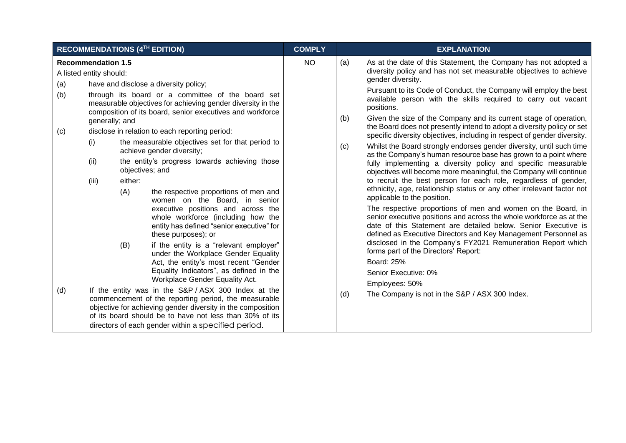| RECOMMENDATIONS (4TH EDITION)                                                                                                                                                                                                                                                                                                                                                                                                                                                                                                                                                                                                                                                                                                                                                                                                                                                                                                              | <b>COMPLY</b> | <b>EXPLANATION</b>                                                                                                                                                                                                                                                                                                                                                                                                                                                                                                                                                                                                                                                                                                                                                                                                                                                                                                                                                                                                                                     |
|--------------------------------------------------------------------------------------------------------------------------------------------------------------------------------------------------------------------------------------------------------------------------------------------------------------------------------------------------------------------------------------------------------------------------------------------------------------------------------------------------------------------------------------------------------------------------------------------------------------------------------------------------------------------------------------------------------------------------------------------------------------------------------------------------------------------------------------------------------------------------------------------------------------------------------------------|---------------|--------------------------------------------------------------------------------------------------------------------------------------------------------------------------------------------------------------------------------------------------------------------------------------------------------------------------------------------------------------------------------------------------------------------------------------------------------------------------------------------------------------------------------------------------------------------------------------------------------------------------------------------------------------------------------------------------------------------------------------------------------------------------------------------------------------------------------------------------------------------------------------------------------------------------------------------------------------------------------------------------------------------------------------------------------|
| <b>Recommendation 1.5</b><br>A listed entity should:<br>have and disclose a diversity policy;<br>(a)<br>(b)<br>through its board or a committee of the board set<br>measurable objectives for achieving gender diversity in the<br>composition of its board, senior executives and workforce<br>generally; and                                                                                                                                                                                                                                                                                                                                                                                                                                                                                                                                                                                                                             | <b>NO</b>     | As at the date of this Statement, the Company has not adopted a<br>(a)<br>diversity policy and has not set measurable objectives to achieve<br>gender diversity.<br>Pursuant to its Code of Conduct, the Company will employ the best<br>available person with the skills required to carry out vacant<br>positions.<br>Given the size of the Company and its current stage of operation,<br>(b)<br>the Board does not presently intend to adopt a diversity policy or set                                                                                                                                                                                                                                                                                                                                                                                                                                                                                                                                                                             |
| (c)<br>disclose in relation to each reporting period:<br>the measurable objectives set for that period to<br>(i)<br>achieve gender diversity;<br>(ii)<br>the entity's progress towards achieving those<br>objectives; and<br>(iii)<br>either:<br>(A)<br>the respective proportions of men and<br>women on the Board, in senior<br>executive positions and across the<br>whole workforce (including how the<br>entity has defined "senior executive" for<br>these purposes); or<br>if the entity is a "relevant employer"<br>(B)<br>under the Workplace Gender Equality<br>Act, the entity's most recent "Gender<br>Equality Indicators", as defined in the<br>Workplace Gender Equality Act.<br>(d)<br>If the entity was in the S&P/ASX 300 Index at the<br>commencement of the reporting period, the measurable<br>objective for achieving gender diversity in the composition<br>of its board should be to have not less than 30% of its |               | specific diversity objectives, including in respect of gender diversity.<br>Whilst the Board strongly endorses gender diversity, until such time<br>(c)<br>as the Company's human resource base has grown to a point where<br>fully implementing a diversity policy and specific measurable<br>objectives will become more meaningful, the Company will continue<br>to recruit the best person for each role, regardless of gender,<br>ethnicity, age, relationship status or any other irrelevant factor not<br>applicable to the position.<br>The respective proportions of men and women on the Board, in<br>senior executive positions and across the whole workforce as at the<br>date of this Statement are detailed below. Senior Executive is<br>defined as Executive Directors and Key Management Personnel as<br>disclosed in the Company's FY2021 Remuneration Report which<br>forms part of the Directors' Report:<br><b>Board: 25%</b><br>Senior Executive: 0%<br>Employees: 50%<br>(d)<br>The Company is not in the S&P / ASX 300 Index. |
| directors of each gender within a specified period.                                                                                                                                                                                                                                                                                                                                                                                                                                                                                                                                                                                                                                                                                                                                                                                                                                                                                        |               |                                                                                                                                                                                                                                                                                                                                                                                                                                                                                                                                                                                                                                                                                                                                                                                                                                                                                                                                                                                                                                                        |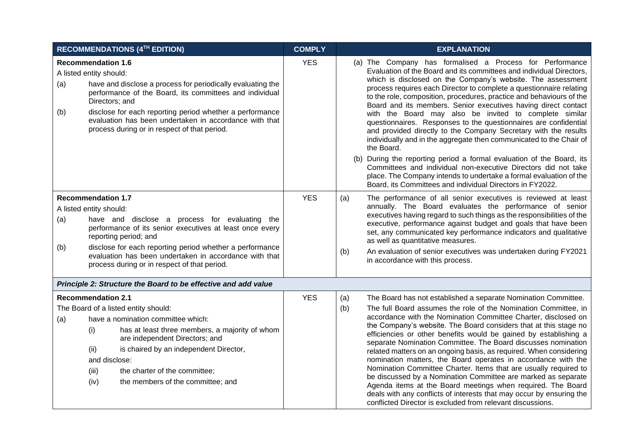|            | <b>RECOMMENDATIONS (4TH EDITION)</b>                                                                                                                                                                                                                                                                                                                                   | <b>COMPLY</b> | <b>EXPLANATION</b>                                                                                                                                                                                                                                                                                                                                                                                                                                                                                                                                                                                                                                                                                                                                                                                                                                                                                                                                                                   |  |  |  |
|------------|------------------------------------------------------------------------------------------------------------------------------------------------------------------------------------------------------------------------------------------------------------------------------------------------------------------------------------------------------------------------|---------------|--------------------------------------------------------------------------------------------------------------------------------------------------------------------------------------------------------------------------------------------------------------------------------------------------------------------------------------------------------------------------------------------------------------------------------------------------------------------------------------------------------------------------------------------------------------------------------------------------------------------------------------------------------------------------------------------------------------------------------------------------------------------------------------------------------------------------------------------------------------------------------------------------------------------------------------------------------------------------------------|--|--|--|
| (a)<br>(b) | <b>Recommendation 1.6</b><br>A listed entity should:<br>have and disclose a process for periodically evaluating the<br>performance of the Board, its committees and individual<br>Directors; and<br>disclose for each reporting period whether a performance<br>evaluation has been undertaken in accordance with that<br>process during or in respect of that period. | <b>YES</b>    | (a) The Company has formalised a Process for Performance<br>Evaluation of the Board and its committees and individual Directors,<br>which is disclosed on the Company's website. The assessment<br>process requires each Director to complete a questionnaire relating<br>to the role, composition, procedures, practice and behaviours of the<br>Board and its members. Senior executives having direct contact<br>with the Board may also be invited to complete similar<br>questionnaires. Responses to the questionnaires are confidential<br>and provided directly to the Company Secretary with the results<br>individually and in the aggregate then communicated to the Chair of<br>the Board.<br>(b) During the reporting period a formal evaluation of the Board, its<br>Committees and individual non-executive Directors did not take<br>place. The Company intends to undertake a formal evaluation of the<br>Board, its Committees and individual Directors in FY2022. |  |  |  |
| (a)<br>(b) | <b>Recommendation 1.7</b><br>A listed entity should:<br>have and disclose a process for evaluating the<br>performance of its senior executives at least once every<br>reporting period; and<br>disclose for each reporting period whether a performance<br>evaluation has been undertaken in accordance with that<br>process during or in respect of that period.      | <b>YES</b>    | (a)<br>The performance of all senior executives is reviewed at least<br>annually. The Board evaluates the performance of senior<br>executives having regard to such things as the responsibilities of the<br>executive, performance against budget and goals that have been<br>set, any communicated key performance indicators and qualitative<br>as well as quantitative measures.<br>An evaluation of senior executives was undertaken during FY2021<br>(b)<br>in accordance with this process.                                                                                                                                                                                                                                                                                                                                                                                                                                                                                   |  |  |  |
|            | Principle 2: Structure the Board to be effective and add value                                                                                                                                                                                                                                                                                                         |               |                                                                                                                                                                                                                                                                                                                                                                                                                                                                                                                                                                                                                                                                                                                                                                                                                                                                                                                                                                                      |  |  |  |
| (a)        | <b>Recommendation 2.1</b><br>The Board of a listed entity should:<br>have a nomination committee which:<br>(i)<br>has at least three members, a majority of whom<br>are independent Directors; and<br>(ii)<br>is chaired by an independent Director,<br>and disclose:<br>(iii)<br>the charter of the committee;<br>(iv)<br>the members of the committee; and           | <b>YES</b>    | (a)<br>The Board has not established a separate Nomination Committee.<br>The full Board assumes the role of the Nomination Committee, in<br>(b)<br>accordance with the Nomination Committee Charter, disclosed on<br>the Company's website. The Board considers that at this stage no<br>efficiencies or other benefits would be gained by establishing a<br>separate Nomination Committee. The Board discusses nomination<br>related matters on an ongoing basis, as required. When considering<br>nomination matters, the Board operates in accordance with the<br>Nomination Committee Charter. Items that are usually required to<br>be discussed by a Nomination Committee are marked as separate<br>Agenda items at the Board meetings when required. The Board<br>deals with any conflicts of interests that may occur by ensuring the<br>conflicted Director is excluded from relevant discussions.                                                                          |  |  |  |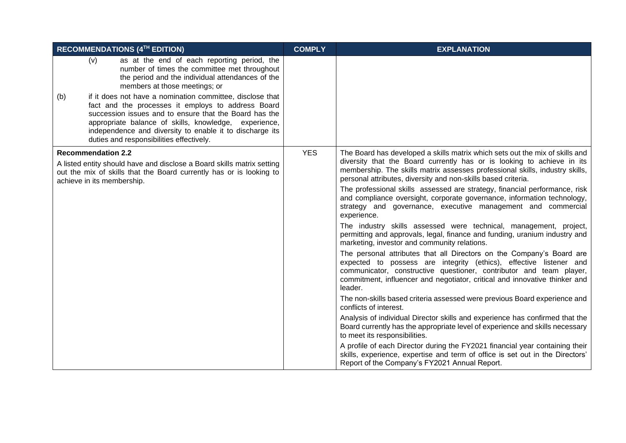| RECOMMENDATIONS (4TH EDITION)                                                                                                                                                                                                                                                                                                                     | <b>COMPLY</b> | <b>EXPLANATION</b>                                                                                                                                                                                                                                                                                          |
|---------------------------------------------------------------------------------------------------------------------------------------------------------------------------------------------------------------------------------------------------------------------------------------------------------------------------------------------------|---------------|-------------------------------------------------------------------------------------------------------------------------------------------------------------------------------------------------------------------------------------------------------------------------------------------------------------|
| (v)<br>as at the end of each reporting period, the<br>number of times the committee met throughout<br>the period and the individual attendances of the<br>members at those meetings; or                                                                                                                                                           |               |                                                                                                                                                                                                                                                                                                             |
| if it does not have a nomination committee, disclose that<br>(b)<br>fact and the processes it employs to address Board<br>succession issues and to ensure that the Board has the<br>appropriate balance of skills, knowledge, experience,<br>independence and diversity to enable it to discharge its<br>duties and responsibilities effectively. |               |                                                                                                                                                                                                                                                                                                             |
| <b>Recommendation 2.2</b><br>A listed entity should have and disclose a Board skills matrix setting<br>out the mix of skills that the Board currently has or is looking to<br>achieve in its membership.                                                                                                                                          | <b>YES</b>    | The Board has developed a skills matrix which sets out the mix of skills and<br>diversity that the Board currently has or is looking to achieve in its<br>membership. The skills matrix assesses professional skills, industry skills,<br>personal attributes, diversity and non-skills based criteria.     |
|                                                                                                                                                                                                                                                                                                                                                   |               | The professional skills assessed are strategy, financial performance, risk<br>and compliance oversight, corporate governance, information technology,<br>strategy and governance, executive management and commercial<br>experience.                                                                        |
|                                                                                                                                                                                                                                                                                                                                                   |               | The industry skills assessed were technical, management, project,<br>permitting and approvals, legal, finance and funding, uranium industry and<br>marketing, investor and community relations.                                                                                                             |
|                                                                                                                                                                                                                                                                                                                                                   |               | The personal attributes that all Directors on the Company's Board are<br>expected to possess are integrity (ethics), effective listener and<br>communicator, constructive questioner, contributor and team player,<br>commitment, influencer and negotiator, critical and innovative thinker and<br>leader. |
|                                                                                                                                                                                                                                                                                                                                                   |               | The non-skills based criteria assessed were previous Board experience and<br>conflicts of interest.                                                                                                                                                                                                         |
|                                                                                                                                                                                                                                                                                                                                                   |               | Analysis of individual Director skills and experience has confirmed that the<br>Board currently has the appropriate level of experience and skills necessary<br>to meet its responsibilities.                                                                                                               |
|                                                                                                                                                                                                                                                                                                                                                   |               | A profile of each Director during the FY2021 financial year containing their<br>skills, experience, expertise and term of office is set out in the Directors'<br>Report of the Company's FY2021 Annual Report.                                                                                              |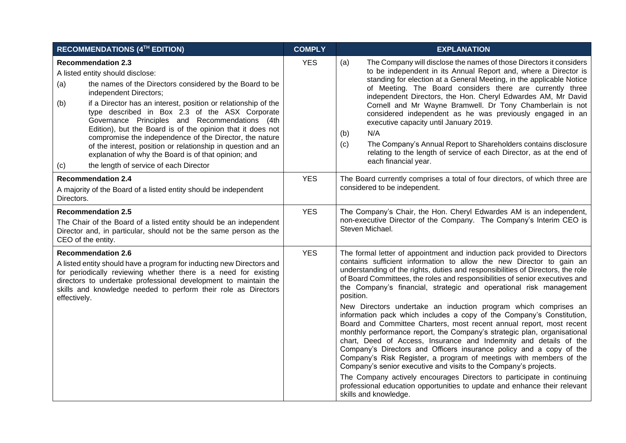|                                                                                                                                                                                                                                                                                                                            | <b>RECOMMENDATIONS (4TH EDITION)</b>                                                                                                                                                                                                                                                                                                                                                                                                                                                                                                                                                                                 | <b>COMPLY</b> | <b>EXPLANATION</b>                                                                                                                                                                                                                                                                                                                                                                                                                                                                                                                                                                                                                                                                                                                                                                                                                                                                                                                                                                                                                                                                                                                                                            |  |
|----------------------------------------------------------------------------------------------------------------------------------------------------------------------------------------------------------------------------------------------------------------------------------------------------------------------------|----------------------------------------------------------------------------------------------------------------------------------------------------------------------------------------------------------------------------------------------------------------------------------------------------------------------------------------------------------------------------------------------------------------------------------------------------------------------------------------------------------------------------------------------------------------------------------------------------------------------|---------------|-------------------------------------------------------------------------------------------------------------------------------------------------------------------------------------------------------------------------------------------------------------------------------------------------------------------------------------------------------------------------------------------------------------------------------------------------------------------------------------------------------------------------------------------------------------------------------------------------------------------------------------------------------------------------------------------------------------------------------------------------------------------------------------------------------------------------------------------------------------------------------------------------------------------------------------------------------------------------------------------------------------------------------------------------------------------------------------------------------------------------------------------------------------------------------|--|
| (a)<br>(b)<br>(c)                                                                                                                                                                                                                                                                                                          | <b>Recommendation 2.3</b><br>A listed entity should disclose:<br>the names of the Directors considered by the Board to be<br>independent Directors;<br>if a Director has an interest, position or relationship of the<br>type described in Box 2.3 of the ASX Corporate<br>Governance Principles and Recommendations (4th<br>Edition), but the Board is of the opinion that it does not<br>compromise the independence of the Director, the nature<br>of the interest, position or relationship in question and an<br>explanation of why the Board is of that opinion; and<br>the length of service of each Director | <b>YES</b>    | The Company will disclose the names of those Directors it considers<br>(a)<br>to be independent in its Annual Report and, where a Director is<br>standing for election at a General Meeting, in the applicable Notice<br>of Meeting. The Board considers there are currently three<br>independent Directors, the Hon. Cheryl Edwardes AM, Mr David<br>Cornell and Mr Wayne Bramwell. Dr Tony Chamberlain is not<br>considered independent as he was previously engaged in an<br>executive capacity until January 2019.<br>N/A<br>(b)<br>(c)<br>The Company's Annual Report to Shareholders contains disclosure<br>relating to the length of service of each Director, as at the end of<br>each financial year.                                                                                                                                                                                                                                                                                                                                                                                                                                                                |  |
| <b>Recommendation 2.4</b><br>A majority of the Board of a listed entity should be independent<br>Directors.                                                                                                                                                                                                                |                                                                                                                                                                                                                                                                                                                                                                                                                                                                                                                                                                                                                      | <b>YES</b>    | The Board currently comprises a total of four directors, of which three are<br>considered to be independent.                                                                                                                                                                                                                                                                                                                                                                                                                                                                                                                                                                                                                                                                                                                                                                                                                                                                                                                                                                                                                                                                  |  |
| <b>Recommendation 2.5</b><br>The Chair of the Board of a listed entity should be an independent<br>Director and, in particular, should not be the same person as the<br>CEO of the entity.                                                                                                                                 |                                                                                                                                                                                                                                                                                                                                                                                                                                                                                                                                                                                                                      | <b>YES</b>    | The Company's Chair, the Hon. Cheryl Edwardes AM is an independent,<br>non-executive Director of the Company. The Company's Interim CEO is<br>Steven Michael.                                                                                                                                                                                                                                                                                                                                                                                                                                                                                                                                                                                                                                                                                                                                                                                                                                                                                                                                                                                                                 |  |
| <b>Recommendation 2.6</b><br>A listed entity should have a program for inducting new Directors and<br>for periodically reviewing whether there is a need for existing<br>directors to undertake professional development to maintain the<br>skills and knowledge needed to perform their role as Directors<br>effectively. |                                                                                                                                                                                                                                                                                                                                                                                                                                                                                                                                                                                                                      | <b>YES</b>    | The formal letter of appointment and induction pack provided to Directors<br>contains sufficient information to allow the new Director to gain an<br>understanding of the rights, duties and responsibilities of Directors, the role<br>of Board Committees, the roles and responsibilities of senior executives and<br>the Company's financial, strategic and operational risk management<br>position.<br>New Directors undertake an induction program which comprises an<br>information pack which includes a copy of the Company's Constitution,<br>Board and Committee Charters, most recent annual report, most recent<br>monthly performance report, the Company's strategic plan, organisational<br>chart, Deed of Access, Insurance and Indemnity and details of the<br>Company's Directors and Officers insurance policy and a copy of the<br>Company's Risk Register, a program of meetings with members of the<br>Company's senior executive and visits to the Company's projects.<br>The Company actively encourages Directors to participate in continuing<br>professional education opportunities to update and enhance their relevant<br>skills and knowledge. |  |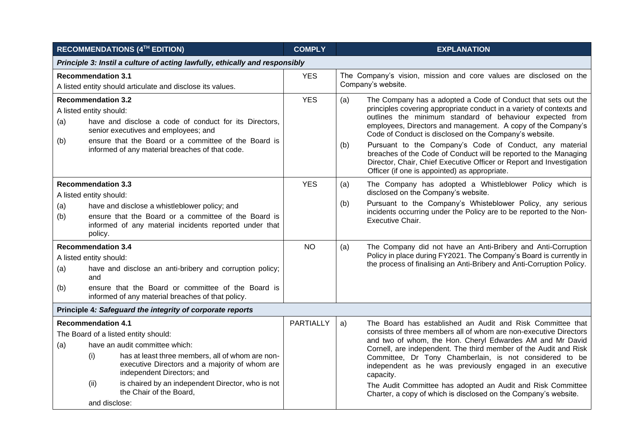| RECOMMENDATIONS (4TH EDITION)                                               |                                                      |                                                                                                                                                                                                           | <b>COMPLY</b>    |            | <b>EXPLANATION</b>                                                                                                                                                                                                                                                                                                                                                                                                                                                                                                                                                                  |  |
|-----------------------------------------------------------------------------|------------------------------------------------------|-----------------------------------------------------------------------------------------------------------------------------------------------------------------------------------------------------------|------------------|------------|-------------------------------------------------------------------------------------------------------------------------------------------------------------------------------------------------------------------------------------------------------------------------------------------------------------------------------------------------------------------------------------------------------------------------------------------------------------------------------------------------------------------------------------------------------------------------------------|--|
| Principle 3: Instil a culture of acting lawfully, ethically and responsibly |                                                      |                                                                                                                                                                                                           |                  |            |                                                                                                                                                                                                                                                                                                                                                                                                                                                                                                                                                                                     |  |
|                                                                             | <b>Recommendation 3.1</b>                            | A listed entity should articulate and disclose its values.                                                                                                                                                | <b>YES</b>       |            | The Company's vision, mission and core values are disclosed on the<br>Company's website.                                                                                                                                                                                                                                                                                                                                                                                                                                                                                            |  |
| (a)<br>(b)                                                                  | <b>Recommendation 3.2</b><br>A listed entity should: | have and disclose a code of conduct for its Directors,<br>senior executives and employees; and<br>ensure that the Board or a committee of the Board is<br>informed of any material breaches of that code. | <b>YES</b>       | (a)<br>(b) | The Company has a adopted a Code of Conduct that sets out the<br>principles covering appropriate conduct in a variety of contexts and<br>outlines the minimum standard of behaviour expected from<br>employees, Directors and management. A copy of the Company's<br>Code of Conduct is disclosed on the Company's website.<br>Pursuant to the Company's Code of Conduct, any material<br>breaches of the Code of Conduct will be reported to the Managing<br>Director, Chair, Chief Executive Officer or Report and Investigation<br>Officer (if one is appointed) as appropriate. |  |
|                                                                             | <b>Recommendation 3.3</b><br>A listed entity should: |                                                                                                                                                                                                           | <b>YES</b>       | (a)        | The Company has adopted a Whistleblower Policy which is<br>disclosed on the Company's website.                                                                                                                                                                                                                                                                                                                                                                                                                                                                                      |  |
| (a)<br>(b)                                                                  | policy.                                              | have and disclose a whistleblower policy; and<br>ensure that the Board or a committee of the Board is<br>informed of any material incidents reported under that                                           |                  | (b)        | Pursuant to the Company's Whisteblower Policy, any serious<br>incidents occurring under the Policy are to be reported to the Non-<br>Executive Chair.                                                                                                                                                                                                                                                                                                                                                                                                                               |  |
|                                                                             | <b>Recommendation 3.4</b>                            |                                                                                                                                                                                                           | <b>NO</b>        | (a)        | The Company did not have an Anti-Bribery and Anti-Corruption<br>Policy in place during FY2021. The Company's Board is currently in<br>the process of finalising an Anti-Bribery and Anti-Corruption Policy.                                                                                                                                                                                                                                                                                                                                                                         |  |
|                                                                             | A listed entity should:                              |                                                                                                                                                                                                           |                  |            |                                                                                                                                                                                                                                                                                                                                                                                                                                                                                                                                                                                     |  |
| (a)                                                                         | and                                                  | have and disclose an anti-bribery and corruption policy;                                                                                                                                                  |                  |            |                                                                                                                                                                                                                                                                                                                                                                                                                                                                                                                                                                                     |  |
| (b)                                                                         |                                                      | ensure that the Board or committee of the Board is<br>informed of any material breaches of that policy.                                                                                                   |                  |            |                                                                                                                                                                                                                                                                                                                                                                                                                                                                                                                                                                                     |  |
|                                                                             |                                                      | Principle 4: Safeguard the integrity of corporate reports                                                                                                                                                 |                  |            |                                                                                                                                                                                                                                                                                                                                                                                                                                                                                                                                                                                     |  |
|                                                                             | <b>Recommendation 4.1</b>                            | The Board of a listed entity should:                                                                                                                                                                      | <b>PARTIALLY</b> | a)         | The Board has established an Audit and Risk Committee that<br>consists of three members all of whom are non-executive Directors                                                                                                                                                                                                                                                                                                                                                                                                                                                     |  |
| (a)                                                                         |                                                      | have an audit committee which:                                                                                                                                                                            |                  |            | and two of whom, the Hon. Cheryl Edwardes AM and Mr David                                                                                                                                                                                                                                                                                                                                                                                                                                                                                                                           |  |
|                                                                             | (i)                                                  | has at least three members, all of whom are non-<br>executive Directors and a majority of whom are<br>independent Directors; and                                                                          |                  |            | Cornell, are independent. The third member of the Audit and Risk<br>Committee, Dr Tony Chamberlain, is not considered to be<br>independent as he was previously engaged in an executive<br>capacity.                                                                                                                                                                                                                                                                                                                                                                                |  |
|                                                                             | (ii)                                                 | is chaired by an independent Director, who is not<br>the Chair of the Board,                                                                                                                              |                  |            | The Audit Committee has adopted an Audit and Risk Committee<br>Charter, a copy of which is disclosed on the Company's website.                                                                                                                                                                                                                                                                                                                                                                                                                                                      |  |
|                                                                             | and disclose:                                        |                                                                                                                                                                                                           |                  |            |                                                                                                                                                                                                                                                                                                                                                                                                                                                                                                                                                                                     |  |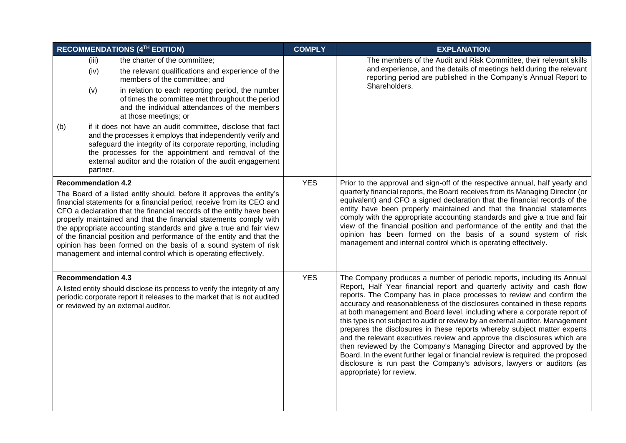| RECOMMENDATIONS (4TH EDITION)                                                                                                                                                                                                                                                                                                                                                                                                                                                                                                                                                                              |                      |                                                                                                                                                                                                                                                                                                                | <b>COMPLY</b> | <b>EXPLANATION</b>                                                                                                                                                                                                                                                                                                                                                                                                                                                                                                                                                                                                                                                                                                                                                                                                                                                                               |
|------------------------------------------------------------------------------------------------------------------------------------------------------------------------------------------------------------------------------------------------------------------------------------------------------------------------------------------------------------------------------------------------------------------------------------------------------------------------------------------------------------------------------------------------------------------------------------------------------------|----------------------|----------------------------------------------------------------------------------------------------------------------------------------------------------------------------------------------------------------------------------------------------------------------------------------------------------------|---------------|--------------------------------------------------------------------------------------------------------------------------------------------------------------------------------------------------------------------------------------------------------------------------------------------------------------------------------------------------------------------------------------------------------------------------------------------------------------------------------------------------------------------------------------------------------------------------------------------------------------------------------------------------------------------------------------------------------------------------------------------------------------------------------------------------------------------------------------------------------------------------------------------------|
|                                                                                                                                                                                                                                                                                                                                                                                                                                                                                                                                                                                                            | (iii)<br>(iv)<br>(v) | the charter of the committee;<br>the relevant qualifications and experience of the<br>members of the committee; and<br>in relation to each reporting period, the number                                                                                                                                        |               | The members of the Audit and Risk Committee, their relevant skills<br>and experience, and the details of meetings held during the relevant<br>reporting period are published in the Company's Annual Report to<br>Shareholders.                                                                                                                                                                                                                                                                                                                                                                                                                                                                                                                                                                                                                                                                  |
|                                                                                                                                                                                                                                                                                                                                                                                                                                                                                                                                                                                                            |                      | of times the committee met throughout the period<br>and the individual attendances of the members<br>at those meetings; or                                                                                                                                                                                     |               |                                                                                                                                                                                                                                                                                                                                                                                                                                                                                                                                                                                                                                                                                                                                                                                                                                                                                                  |
| (b)                                                                                                                                                                                                                                                                                                                                                                                                                                                                                                                                                                                                        | partner.             | if it does not have an audit committee, disclose that fact<br>and the processes it employs that independently verify and<br>safeguard the integrity of its corporate reporting, including<br>the processes for the appointment and removal of the<br>external auditor and the rotation of the audit engagement |               |                                                                                                                                                                                                                                                                                                                                                                                                                                                                                                                                                                                                                                                                                                                                                                                                                                                                                                  |
| <b>Recommendation 4.2</b><br>The Board of a listed entity should, before it approves the entity's<br>financial statements for a financial period, receive from its CEO and<br>CFO a declaration that the financial records of the entity have been<br>properly maintained and that the financial statements comply with<br>the appropriate accounting standards and give a true and fair view<br>of the financial position and performance of the entity and that the<br>opinion has been formed on the basis of a sound system of risk<br>management and internal control which is operating effectively. |                      |                                                                                                                                                                                                                                                                                                                | <b>YES</b>    | Prior to the approval and sign-off of the respective annual, half yearly and<br>quarterly financial reports, the Board receives from its Managing Director (or<br>equivalent) and CFO a signed declaration that the financial records of the<br>entity have been properly maintained and that the financial statements<br>comply with the appropriate accounting standards and give a true and fair<br>view of the financial position and performance of the entity and that the<br>opinion has been formed on the basis of a sound system of risk<br>management and internal control which is operating effectively.                                                                                                                                                                                                                                                                            |
| <b>Recommendation 4.3</b><br>A listed entity should disclose its process to verify the integrity of any<br>periodic corporate report it releases to the market that is not audited<br>or reviewed by an external auditor.                                                                                                                                                                                                                                                                                                                                                                                  |                      |                                                                                                                                                                                                                                                                                                                | <b>YES</b>    | The Company produces a number of periodic reports, including its Annual<br>Report, Half Year financial report and quarterly activity and cash flow<br>reports. The Company has in place processes to review and confirm the<br>accuracy and reasonableness of the disclosures contained in these reports<br>at both management and Board level, including where a corporate report of<br>this type is not subject to audit or review by an external auditor. Management<br>prepares the disclosures in these reports whereby subject matter experts<br>and the relevant executives review and approve the disclosures which are<br>then reviewed by the Company's Managing Director and approved by the<br>Board. In the event further legal or financial review is required, the proposed<br>disclosure is run past the Company's advisors, lawyers or auditors (as<br>appropriate) for review. |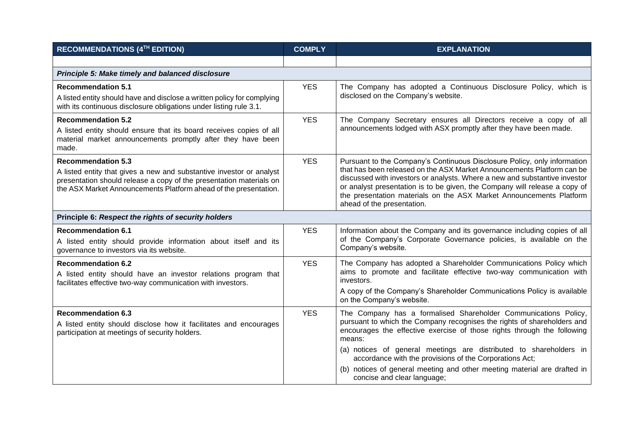| <b>RECOMMENDATIONS (4TH EDITION)</b>                                                                                                                                                                                                         | <b>COMPLY</b> | <b>EXPLANATION</b>                                                                                                                                                                                                                                                                                                                                                                                                                                                          |  |  |  |  |
|----------------------------------------------------------------------------------------------------------------------------------------------------------------------------------------------------------------------------------------------|---------------|-----------------------------------------------------------------------------------------------------------------------------------------------------------------------------------------------------------------------------------------------------------------------------------------------------------------------------------------------------------------------------------------------------------------------------------------------------------------------------|--|--|--|--|
|                                                                                                                                                                                                                                              |               |                                                                                                                                                                                                                                                                                                                                                                                                                                                                             |  |  |  |  |
| Principle 5: Make timely and balanced disclosure                                                                                                                                                                                             |               |                                                                                                                                                                                                                                                                                                                                                                                                                                                                             |  |  |  |  |
| <b>Recommendation 5.1</b><br>A listed entity should have and disclose a written policy for complying<br>with its continuous disclosure obligations under listing rule 3.1.                                                                   | <b>YES</b>    | The Company has adopted a Continuous Disclosure Policy, which is<br>disclosed on the Company's website.                                                                                                                                                                                                                                                                                                                                                                     |  |  |  |  |
| <b>Recommendation 5.2</b><br>A listed entity should ensure that its board receives copies of all<br>material market announcements promptly after they have been<br>made.                                                                     | <b>YES</b>    | The Company Secretary ensures all Directors receive a copy of all<br>announcements lodged with ASX promptly after they have been made.                                                                                                                                                                                                                                                                                                                                      |  |  |  |  |
| <b>Recommendation 5.3</b><br>A listed entity that gives a new and substantive investor or analyst<br>presentation should release a copy of the presentation materials on<br>the ASX Market Announcements Platform ahead of the presentation. | <b>YES</b>    | Pursuant to the Company's Continuous Disclosure Policy, only information<br>that has been released on the ASX Market Announcements Platform can be<br>discussed with investors or analysts. Where a new and substantive investor<br>or analyst presentation is to be given, the Company will release a copy of<br>the presentation materials on the ASX Market Announcements Platform<br>ahead of the presentation.                                                         |  |  |  |  |
| Principle 6: Respect the rights of security holders                                                                                                                                                                                          |               |                                                                                                                                                                                                                                                                                                                                                                                                                                                                             |  |  |  |  |
| <b>Recommendation 6.1</b><br>A listed entity should provide information about itself and its<br>governance to investors via its website.                                                                                                     | <b>YES</b>    | Information about the Company and its governance including copies of all<br>of the Company's Corporate Governance policies, is available on the<br>Company's website.                                                                                                                                                                                                                                                                                                       |  |  |  |  |
| <b>Recommendation 6.2</b><br>A listed entity should have an investor relations program that<br>facilitates effective two-way communication with investors.                                                                                   | <b>YES</b>    | The Company has adopted a Shareholder Communications Policy which<br>aims to promote and facilitate effective two-way communication with<br>investors.<br>A copy of the Company's Shareholder Communications Policy is available<br>on the Company's website.                                                                                                                                                                                                               |  |  |  |  |
| <b>Recommendation 6.3</b><br>A listed entity should disclose how it facilitates and encourages<br>participation at meetings of security holders.                                                                                             | <b>YES</b>    | The Company has a formalised Shareholder Communications Policy,<br>pursuant to which the Company recognises the rights of shareholders and<br>encourages the effective exercise of those rights through the following<br>means:<br>(a) notices of general meetings are distributed to shareholders in<br>accordance with the provisions of the Corporations Act;<br>(b) notices of general meeting and other meeting material are drafted in<br>concise and clear language; |  |  |  |  |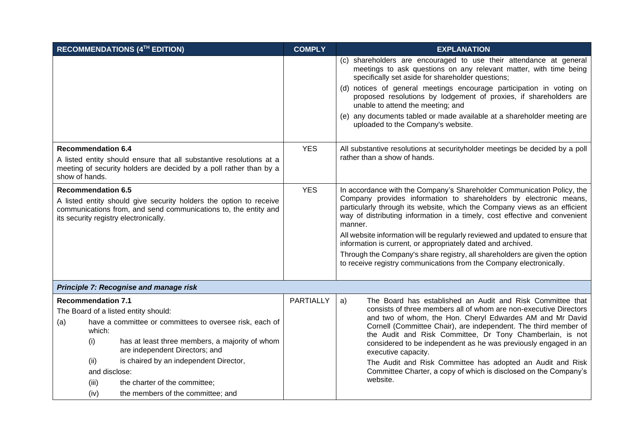|                                                                                                                                                                                          |                                                                                                           | RECOMMENDATIONS (4TH EDITION)                                                                                                                                                  | <b>COMPLY</b>                                                                                               | <b>EXPLANATION</b>                                                                                                                                                                                                                                                                                                                                                                                                                                                                                                                                                                                                       |
|------------------------------------------------------------------------------------------------------------------------------------------------------------------------------------------|-----------------------------------------------------------------------------------------------------------|--------------------------------------------------------------------------------------------------------------------------------------------------------------------------------|-------------------------------------------------------------------------------------------------------------|--------------------------------------------------------------------------------------------------------------------------------------------------------------------------------------------------------------------------------------------------------------------------------------------------------------------------------------------------------------------------------------------------------------------------------------------------------------------------------------------------------------------------------------------------------------------------------------------------------------------------|
|                                                                                                                                                                                          |                                                                                                           |                                                                                                                                                                                |                                                                                                             | (c) shareholders are encouraged to use their attendance at general<br>meetings to ask questions on any relevant matter, with time being<br>specifically set aside for shareholder questions;                                                                                                                                                                                                                                                                                                                                                                                                                             |
|                                                                                                                                                                                          |                                                                                                           |                                                                                                                                                                                |                                                                                                             | (d) notices of general meetings encourage participation in voting on<br>proposed resolutions by lodgement of proxies, if shareholders are<br>unable to attend the meeting; and                                                                                                                                                                                                                                                                                                                                                                                                                                           |
|                                                                                                                                                                                          |                                                                                                           |                                                                                                                                                                                |                                                                                                             | (e) any documents tabled or made available at a shareholder meeting are<br>uploaded to the Company's website.                                                                                                                                                                                                                                                                                                                                                                                                                                                                                                            |
| <b>Recommendation 6.4</b><br>A listed entity should ensure that all substantive resolutions at a<br>meeting of security holders are decided by a poll rather than by a<br>show of hands. |                                                                                                           | <b>YES</b>                                                                                                                                                                     | All substantive resolutions at securityholder meetings be decided by a poll<br>rather than a show of hands. |                                                                                                                                                                                                                                                                                                                                                                                                                                                                                                                                                                                                                          |
|                                                                                                                                                                                          | <b>Recommendation 6.5</b>                                                                                 | A listed entity should give security holders the option to receive<br>communications from, and send communications to, the entity and<br>its security registry electronically. | <b>YES</b>                                                                                                  | In accordance with the Company's Shareholder Communication Policy, the<br>Company provides information to shareholders by electronic means,<br>particularly through its website, which the Company views as an efficient<br>way of distributing information in a timely, cost effective and convenient<br>manner.<br>All website information will be regularly reviewed and updated to ensure that<br>information is current, or appropriately dated and archived.<br>Through the Company's share registry, all shareholders are given the option<br>to receive registry communications from the Company electronically. |
|                                                                                                                                                                                          |                                                                                                           | Principle 7: Recognise and manage risk                                                                                                                                         |                                                                                                             |                                                                                                                                                                                                                                                                                                                                                                                                                                                                                                                                                                                                                          |
|                                                                                                                                                                                          | <b>Recommendation 7.1</b>                                                                                 |                                                                                                                                                                                | <b>PARTIALLY</b>                                                                                            | The Board has established an Audit and Risk Committee that<br>a)<br>consists of three members all of whom are non-executive Directors                                                                                                                                                                                                                                                                                                                                                                                                                                                                                    |
| (a)                                                                                                                                                                                      | The Board of a listed entity should:<br>have a committee or committees to oversee risk, each of<br>which: |                                                                                                                                                                                |                                                                                                             | and two of whom, the Hon. Cheryl Edwardes AM and Mr David<br>Cornell (Committee Chair), are independent. The third member of<br>the Audit and Risk Committee, Dr Tony Chamberlain, is not                                                                                                                                                                                                                                                                                                                                                                                                                                |
|                                                                                                                                                                                          | (i)                                                                                                       | has at least three members, a majority of whom<br>are independent Directors; and                                                                                               |                                                                                                             | considered to be independent as he was previously engaged in an<br>executive capacity.                                                                                                                                                                                                                                                                                                                                                                                                                                                                                                                                   |
|                                                                                                                                                                                          | is chaired by an independent Director,<br>(ii)<br>and disclose:                                           |                                                                                                                                                                                |                                                                                                             | The Audit and Risk Committee has adopted an Audit and Risk<br>Committee Charter, a copy of which is disclosed on the Company's                                                                                                                                                                                                                                                                                                                                                                                                                                                                                           |
|                                                                                                                                                                                          | (iii)                                                                                                     | the charter of the committee;                                                                                                                                                  |                                                                                                             | website.                                                                                                                                                                                                                                                                                                                                                                                                                                                                                                                                                                                                                 |
|                                                                                                                                                                                          | (iv)                                                                                                      | the members of the committee; and                                                                                                                                              |                                                                                                             |                                                                                                                                                                                                                                                                                                                                                                                                                                                                                                                                                                                                                          |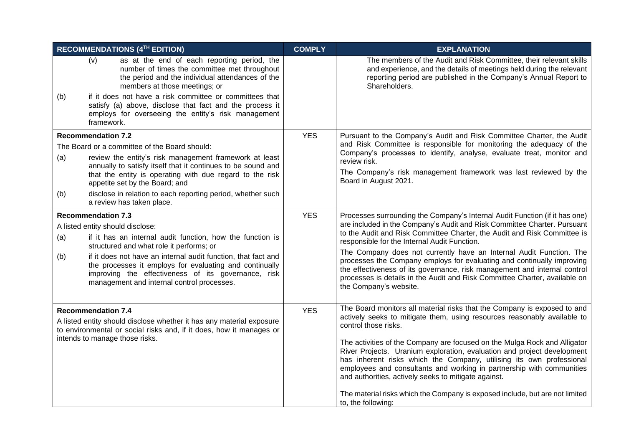|                                | <b>RECOMMENDATIONS (4TH EDITION)</b>                                                                                                                                                                                                                                      | <b>COMPLY</b> | <b>EXPLANATION</b>                                                                                                                                                                                                                                                                                                                                            |
|--------------------------------|---------------------------------------------------------------------------------------------------------------------------------------------------------------------------------------------------------------------------------------------------------------------------|---------------|---------------------------------------------------------------------------------------------------------------------------------------------------------------------------------------------------------------------------------------------------------------------------------------------------------------------------------------------------------------|
|                                | as at the end of each reporting period, the<br>(v)<br>number of times the committee met throughout<br>the period and the individual attendances of the<br>members at those meetings; or                                                                                   |               | The members of the Audit and Risk Committee, their relevant skills<br>and experience, and the details of meetings held during the relevant<br>reporting period are published in the Company's Annual Report to<br>Shareholders.                                                                                                                               |
| (b)                            | if it does not have a risk committee or committees that<br>satisfy (a) above, disclose that fact and the process it<br>employs for overseeing the entity's risk management<br>framework.                                                                                  |               |                                                                                                                                                                                                                                                                                                                                                               |
|                                | <b>Recommendation 7.2</b>                                                                                                                                                                                                                                                 | <b>YES</b>    | Pursuant to the Company's Audit and Risk Committee Charter, the Audit                                                                                                                                                                                                                                                                                         |
|                                | The Board or a committee of the Board should:                                                                                                                                                                                                                             |               | and Risk Committee is responsible for monitoring the adequacy of the                                                                                                                                                                                                                                                                                          |
| (a)                            | review the entity's risk management framework at least                                                                                                                                                                                                                    |               | Company's processes to identify, analyse, evaluate treat, monitor and<br>review risk.                                                                                                                                                                                                                                                                         |
|                                | annually to satisfy itself that it continues to be sound and<br>that the entity is operating with due regard to the risk<br>appetite set by the Board; and                                                                                                                |               | The Company's risk management framework was last reviewed by the<br>Board in August 2021.                                                                                                                                                                                                                                                                     |
| (b)                            | disclose in relation to each reporting period, whether such<br>a review has taken place.                                                                                                                                                                                  |               |                                                                                                                                                                                                                                                                                                                                                               |
| <b>Recommendation 7.3</b>      |                                                                                                                                                                                                                                                                           | <b>YES</b>    | Processes surrounding the Company's Internal Audit Function (if it has one)                                                                                                                                                                                                                                                                                   |
| (a)                            | A listed entity should disclose:<br>if it has an internal audit function, how the function is                                                                                                                                                                             |               | are included in the Company's Audit and Risk Committee Charter. Pursuant<br>to the Audit and Risk Committee Charter, the Audit and Risk Committee is<br>responsible for the Internal Audit Function.                                                                                                                                                          |
| (b)                            | structured and what role it performs; or<br>if it does not have an internal audit function, that fact and<br>the processes it employs for evaluating and continually<br>improving the effectiveness of its governance, risk<br>management and internal control processes. |               | The Company does not currently have an Internal Audit Function. The<br>processes the Company employs for evaluating and continually improving<br>the effectiveness of its governance, risk management and internal control<br>processes is details in the Audit and Risk Committee Charter, available on<br>the Company's website.                            |
|                                | <b>Recommendation 7.4</b>                                                                                                                                                                                                                                                 | <b>YES</b>    | The Board monitors all material risks that the Company is exposed to and                                                                                                                                                                                                                                                                                      |
|                                | A listed entity should disclose whether it has any material exposure<br>to environmental or social risks and, if it does, how it manages or                                                                                                                               |               | actively seeks to mitigate them, using resources reasonably available to<br>control those risks.                                                                                                                                                                                                                                                              |
| intends to manage those risks. |                                                                                                                                                                                                                                                                           |               | The activities of the Company are focused on the Mulga Rock and Alligator<br>River Projects. Uranium exploration, evaluation and project development<br>has inherent risks which the Company, utilising its own professional<br>employees and consultants and working in partnership with communities<br>and authorities, actively seeks to mitigate against. |
|                                |                                                                                                                                                                                                                                                                           |               | The material risks which the Company is exposed include, but are not limited<br>to, the following:                                                                                                                                                                                                                                                            |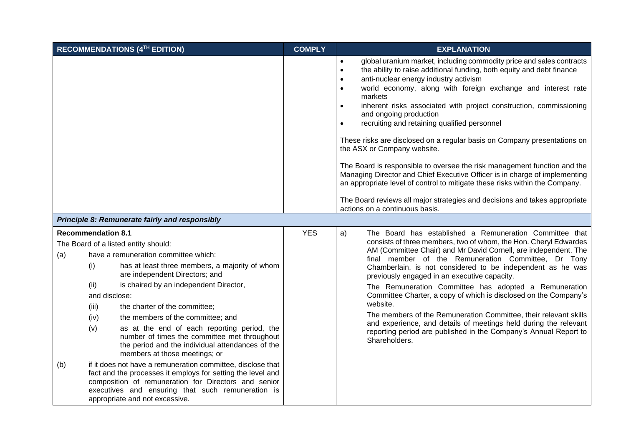|            | RECOMMENDATIONS (4TH EDITION)                                                     |                                                                                                                                                                                                                                                                                                                                                                                                                                                                                                                                     |            | <b>EXPLANATION</b>                                                                                                                                                                                                                                                                                                                                                                                                                                                                                                                                                                                                                                                                                                                                                                                                                                                                                                                                                  |
|------------|-----------------------------------------------------------------------------------|-------------------------------------------------------------------------------------------------------------------------------------------------------------------------------------------------------------------------------------------------------------------------------------------------------------------------------------------------------------------------------------------------------------------------------------------------------------------------------------------------------------------------------------|------------|---------------------------------------------------------------------------------------------------------------------------------------------------------------------------------------------------------------------------------------------------------------------------------------------------------------------------------------------------------------------------------------------------------------------------------------------------------------------------------------------------------------------------------------------------------------------------------------------------------------------------------------------------------------------------------------------------------------------------------------------------------------------------------------------------------------------------------------------------------------------------------------------------------------------------------------------------------------------|
|            |                                                                                   |                                                                                                                                                                                                                                                                                                                                                                                                                                                                                                                                     |            | global uranium market, including commodity price and sales contracts<br>$\bullet$<br>the ability to raise additional funding, both equity and debt finance<br>$\bullet$<br>anti-nuclear energy industry activism<br>$\bullet$<br>world economy, along with foreign exchange and interest rate<br>$\bullet$<br>markets<br>inherent risks associated with project construction, commissioning<br>$\bullet$<br>and ongoing production<br>recruiting and retaining qualified personnel<br>$\bullet$<br>These risks are disclosed on a regular basis on Company presentations on<br>the ASX or Company website.<br>The Board is responsible to oversee the risk management function and the<br>Managing Director and Chief Executive Officer is in charge of implementing<br>an appropriate level of control to mitigate these risks within the Company.<br>The Board reviews all major strategies and decisions and takes appropriate<br>actions on a continuous basis. |
|            |                                                                                   | Principle 8: Remunerate fairly and responsibly                                                                                                                                                                                                                                                                                                                                                                                                                                                                                      |            |                                                                                                                                                                                                                                                                                                                                                                                                                                                                                                                                                                                                                                                                                                                                                                                                                                                                                                                                                                     |
| (a)<br>(b) | <b>Recommendation 8.1</b><br>(i)<br>(ii)<br>and disclose:<br>(iii)<br>(iv)<br>(v) | The Board of a listed entity should:<br>have a remuneration committee which:<br>has at least three members, a majority of whom<br>are independent Directors; and<br>is chaired by an independent Director,<br>the charter of the committee;<br>the members of the committee; and<br>as at the end of each reporting period, the<br>number of times the committee met throughout<br>the period and the individual attendances of the<br>members at those meetings; or<br>if it does not have a remuneration committee, disclose that | <b>YES</b> | a)<br>The Board has established a Remuneration Committee that<br>consists of three members, two of whom, the Hon. Cheryl Edwardes<br>AM (Committee Chair) and Mr David Cornell, are independent. The<br>final member of the Remuneration Committee, Dr Tony<br>Chamberlain, is not considered to be independent as he was<br>previously engaged in an executive capacity.<br>The Remuneration Committee has adopted a Remuneration<br>Committee Charter, a copy of which is disclosed on the Company's<br>website.<br>The members of the Remuneration Committee, their relevant skills<br>and experience, and details of meetings held during the relevant<br>reporting period are published in the Company's Annual Report to<br>Shareholders.                                                                                                                                                                                                                     |
|            |                                                                                   | fact and the processes it employs for setting the level and<br>composition of remuneration for Directors and senior<br>executives and ensuring that such remuneration is<br>appropriate and not excessive.                                                                                                                                                                                                                                                                                                                          |            |                                                                                                                                                                                                                                                                                                                                                                                                                                                                                                                                                                                                                                                                                                                                                                                                                                                                                                                                                                     |